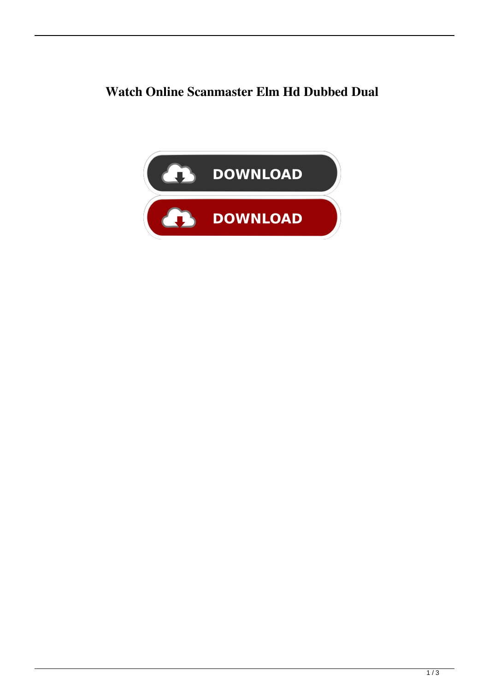## **Watch Online Scanmaster Elm Hd Dubbed Dual**

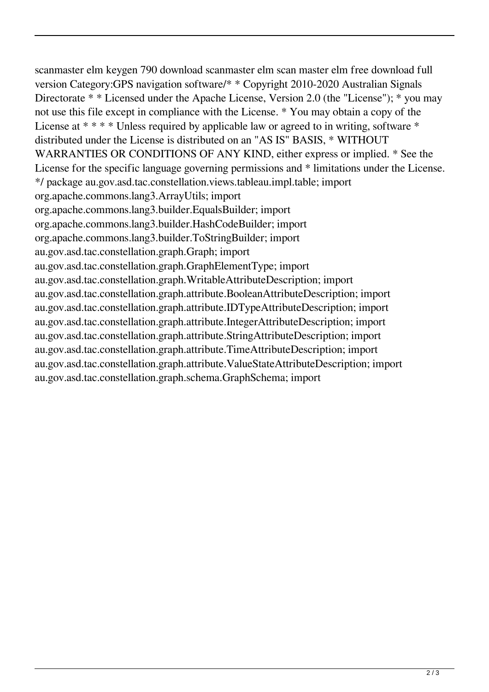scanmaster elm keygen 790 download scanmaster elm scan master elm free download full version Category:GPS navigation software/\* \* Copyright 2010-2020 Australian Signals Directorate \* \* Licensed under the Apache License, Version 2.0 (the "License"); \* you may not use this file except in compliance with the License. \* You may obtain a copy of the License at \* \* \* \* Unless required by applicable law or agreed to in writing, software \* distributed under the License is distributed on an "AS IS" BASIS, \* WITHOUT WARRANTIES OR CONDITIONS OF ANY KIND, either express or implied. \* See the License for the specific language governing permissions and \* limitations under the License. \*/ package au.gov.asd.tac.constellation.views.tableau.impl.table; import org.apache.commons.lang3.ArrayUtils; import org.apache.commons.lang3.builder.EqualsBuilder; import org.apache.commons.lang3.builder.HashCodeBuilder; import org.apache.commons.lang3.builder.ToStringBuilder; import au.gov.asd.tac.constellation.graph.Graph; import au.gov.asd.tac.constellation.graph.GraphElementType; import au.gov.asd.tac.constellation.graph.WritableAttributeDescription; import au.gov.asd.tac.constellation.graph.attribute.BooleanAttributeDescription; import au.gov.asd.tac.constellation.graph.attribute.IDTypeAttributeDescription; import au.gov.asd.tac.constellation.graph.attribute.IntegerAttributeDescription; import au.gov.asd.tac.constellation.graph.attribute.StringAttributeDescription; import au.gov.asd.tac.constellation.graph.attribute.TimeAttributeDescription; import au.gov.asd.tac.constellation.graph.attribute.ValueStateAttributeDescription; import au.gov.asd.tac.constellation.graph.schema.GraphSchema; import